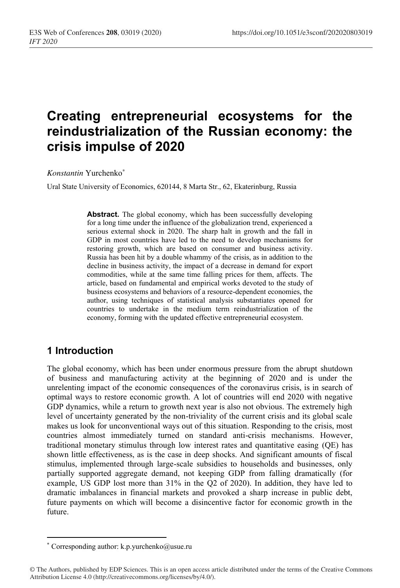# **Creating entrepreneurial ecosystems for the reindustrialization of the Russian economy: the crisis impulse of 2020**

*Konstantin* Yurchenko*\**

Ural State University of Economics, 620144, 8 Marta Str., 62, Ekaterinburg, Russia

**Abstract.** The global economy, which has been successfully developing for a long time under the influence of the globalization trend, experienced a serious external shock in 2020. The sharp halt in growth and the fall in GDP in most countries have led to the need to develop mechanisms for restoring growth, which are based on consumer and business activity. Russia has been hit by a double whammy of the crisis, as in addition to the decline in business activity, the impact of a decrease in demand for export commodities, while at the same time falling prices for them, affects. The article, based on fundamental and empirical works devoted to the study of business ecosystems and behaviors of a resource-dependent economies, the author, using techniques of statistical analysis substantiates opened for countries to undertake in the medium term reindustrialization of the economy, forming with the updated effective entrepreneurial ecosystem.

### **1 Introduction**

The global economy, which has been under enormous pressure from the abrupt shutdown of business and manufacturing activity at the beginning of 2020 and is under the unrelenting impact of the economic consequences of the coronavirus crisis, is in search of optimal ways to restore economic growth. A lot of countries will end 2020 with negative GDP dynamics, while a return to growth next year is also not obvious. The extremely high level of uncertainty generated by the non-triviality of the current crisis and its global scale makes us look for unconventional ways out of this situation. Responding to the crisis, most countries almost immediately turned on standard anti-crisis mechanisms. However, traditional monetary stimulus through low interest rates and quantitative easing (QE) has shown little effectiveness, as is the case in deep shocks. And significant amounts of fiscal stimulus, implemented through large-scale subsidies to households and businesses, only partially supported aggregate demand, not keeping GDP from falling dramatically (for example, US GDP lost more than 31% in the Q2 of 2020). In addition, they have led to dramatic imbalances in financial markets and provoked a sharp increase in public debt, future payments on which will become a disincentive factor for economic growth in the future.

<sup>\*</sup> Corresponding author: k.p.yurchenko@usue.ru

<sup>©</sup> The Authors, published by EDP Sciences. This is an open access article distributed under the terms of the Creative Commons Attribution License 4.0 (http://creativecommons.org/licenses/by/4.0/).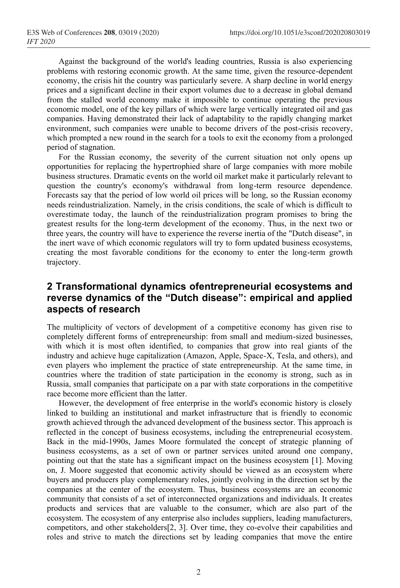Against the background of the world's leading countries, Russia is also experiencing problems with restoring economic growth. At the same time, given the resource-dependent economy, the crisis hit the country was particularly severe. A sharp decline in world energy prices and a significant decline in their export volumes due to a decrease in global demand from the stalled world economy make it impossible to continue operating the previous economic model, one of the key pillars of which were large vertically integrated oil and gas companies. Having demonstrated their lack of adaptability to the rapidly changing market environment, such companies were unable to become drivers of the post-crisis recovery, which prompted a new round in the search for a tools to exit the economy from a prolonged period of stagnation.

For the Russian economy, the severity of the current situation not only opens up opportunities for replacing the hypertrophied share of large companies with more mobile business structures. Dramatic events on the world oil market make it particularly relevant to question the country's economy's withdrawal from long-term resource dependence. Forecasts say that the period of low world oil prices will be long, so the Russian economy needs reindustrialization. Namely, in the crisis conditions, the scale of which is difficult to overestimate today, the launch of the reindustrialization program promises to bring the greatest results for the long-term development of the economy. Thus, in the next two or three years, the country will have to experience the reverse inertia of the "Dutch disease", in the inert wave of which economic regulators will try to form updated business ecosystems, creating the most favorable conditions for the economy to enter the long-term growth trajectory.

# **2 Transformational dynamics ofentrepreneurial ecosystems and reverse dynamics of the "Dutch disease": empirical and applied aspects of research**

The multiplicity of vectors of development of a competitive economy has given rise to completely different forms of entrepreneurship: from small and medium-sized businesses, with which it is most often identified, to companies that grow into real giants of the industry and achieve huge capitalization (Amazon, Apple, Space-X, Tesla, and others), and even players who implement the practice of state entrepreneurship. At the same time, in countries where the tradition of state participation in the economy is strong, such as in Russia, small companies that participate on a par with state corporations in the competitive race become more efficient than the latter.

However, the development of free enterprise in the world's economic history is closely linked to building an institutional and market infrastructure that is friendly to economic growth achieved through the advanced development of the business sector. This approach is reflected in the concept of business ecosystems, including the entrepreneurial ecosystem. Back in the mid-1990s, James Moore formulated the concept of strategic planning of business ecosystems, as a set of own or partner services united around one company, pointing out that the state has a significant impact on the business ecosystem [1]. Moving on, J. Moore suggested that economic activity should be viewed as an ecosystem where buyers and producers play complementary roles, jointly evolving in the direction set by the companies at the center of the ecosystem. Thus, business ecosystems are an economic community that consists of a set of interconnected organizations and individuals. It creates products and services that are valuable to the consumer, which are also part of the ecosystem. The ecosystem of any enterprise also includes suppliers, leading manufacturers, competitors, and other stakeholders[2, 3]. Over time, they co-evolve their capabilities and roles and strive to match the directions set by leading companies that move the entire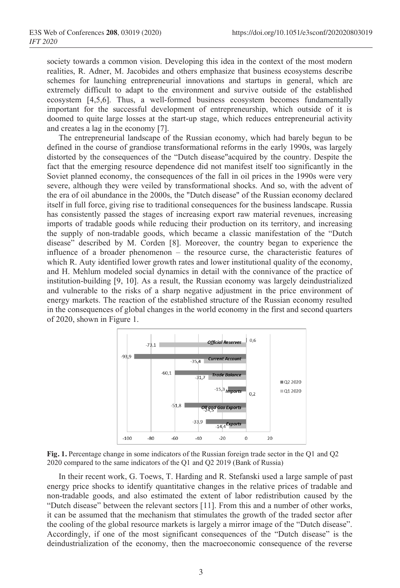society towards a common vision. Developing this idea in the context of the most modern realities, R. Adner, M. Jacobides and others emphasize that business ecosystems describe schemes for launching entrepreneurial innovations and startups in general, which are extremely difficult to adapt to the environment and survive outside of the established ecosystem [4,5,6]. Thus, a well-formed business ecosystem becomes fundamentally important for the successful development of entrepreneurship, which outside of it is doomed to quite large losses at the start-up stage, which reduces entrepreneurial activity and creates a lag in the economy [7].

The entrepreneurial landscape of the Russian economy, which had barely begun to be defined in the course of grandiose transformational reforms in the early 1990s, was largely distorted by the consequences of the "Dutch disease"acquired by the country. Despite the fact that the emerging resource dependence did not manifest itself too significantly in the Soviet planned economy, the consequences of the fall in oil prices in the 1990s were very severe, although they were veiled by transformational shocks. And so, with the advent of the era of oil abundance in the 2000s, the "Dutch disease" of the Russian economy declared itself in full force, giving rise to traditional consequences for the business landscape. Russia has consistently passed the stages of increasing export raw material revenues, increasing imports of tradable goods while reducing their production on its territory, and increasing the supply of non-tradable goods, which became a classic manifestation of the "Dutch disease" described by M. Corden [8]. Moreover, the country began to experience the influence of a broader phenomenon – the resource curse, the characteristic features of which R. Auty identified lower growth rates and lower institutional quality of the economy, and H. Mehlum modeled social dynamics in detail with the connivance of the practice of institution-building [9, 10]. As a result, the Russian economy was largely deindustrialized and vulnerable to the risks of a sharp negative adjustment in the price environment of energy markets. The reaction of the established structure of the Russian economy resulted in the consequences of global changes in the world economy in the first and second quarters of 2020, shown in Figure 1.



**Fig. 1.** Percentage change in some indicators of the Russian foreign trade sector in the Q1 and Q2 2020 compared to the same indicators of the Q1 and Q2 2019 (Bank of Russia)

In their recent work, G. Toews, T. Harding and R. Stefanski used a large sample of past energy price shocks to identify quantitative changes in the relative prices of tradable and non-tradable goods, and also estimated the extent of labor redistribution caused by the "Dutch disease" between the relevant sectors [11]. From this and a number of other works, it can be assumed that the mechanism that stimulates the growth of the traded sector after the cooling of the global resource markets is largely a mirror image of the "Dutch disease". Accordingly, if one of the most significant consequences of the "Dutch disease" is the deindustrialization of the economy, then the macroeconomic consequence of the reverse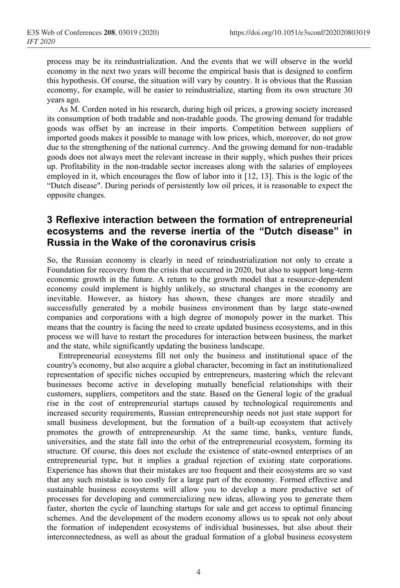process may be its reindustrialization. And the events that we will observe in the world economy in the next two years will become the empirical basis that is designed to confirm this hypothesis. Of course, the situation will vary by country. It is obvious that the Russian economy, for example, will be easier to reindustrialize, starting from its own structure 30 years ago.

As M. Corden noted in his research, during high oil prices, a growing society increased its consumption of both tradable and non-tradable goods. The growing demand for tradable goods was offset by an increase in their imports. Competition between suppliers of imported goods makes it possible to manage with low prices, which, moreover, do not grow due to the strengthening of the national currency. And the growing demand for non-tradable goods does not always meet the relevant increase in their supply, which pushes their prices up. Profitability in the non-tradable sector increases along with the salaries of employees employed in it, which encourages the flow of labor into it [12, 13]. This is the logic of the "Dutch disease". During periods of persistently low oil prices, it is reasonable to expect the opposite changes.

# **3 Reflexive interaction between the formation of entrepreneurial ecosystems and the reverse inertia of the "Dutch disease" in Russia in the Wake of the coronavirus crisis**

So, the Russian economy is clearly in need of reindustrialization not only to create a Foundation for recovery from the crisis that occurred in 2020, but also to support long-term economic growth in the future. A return to the growth model that a resource-dependent economy could implement is highly unlikely, so structural changes in the economy are inevitable. However, as history has shown, these changes are more steadily and successfully generated by a mobile business environment than by large state-owned companies and corporations with a high degree of monopoly power in the market. This means that the country is facing the need to create updated business ecosystems, and in this process we will have to restart the procedures for interaction between business, the market and the state, while significantly updating the business landscape.

Entrepreneurial ecosystems fill not only the business and institutional space of the country's economy, but also acquire a global character, becoming in fact an institutionalized representation of specific niches occupied by entrepreneurs, mastering which the relevant businesses become active in developing mutually beneficial relationships with their customers, suppliers, competitors and the state. Based on the General logic of the gradual rise in the cost of entrepreneurial startups caused by technological requirements and increased security requirements, Russian entrepreneurship needs not just state support for small business development, but the formation of a built-up ecosystem that actively promotes the growth of entrepreneurship. At the same time, banks, venture funds, universities, and the state fall into the orbit of the entrepreneurial ecosystem, forming its structure. Of course, this does not exclude the existence of state-owned enterprises of an entrepreneurial type, but it implies a gradual rejection of existing state corporations. Experience has shown that their mistakes are too frequent and their ecosystems are so vast that any such mistake is too costly for a large part of the economy. Formed effective and sustainable business ecosystems will allow you to develop a more productive set of processes for developing and commercializing new ideas, allowing you to generate them faster, shorten the cycle of launching startups for sale and get access to optimal financing schemes. And the development of the modern economy allows us to speak not only about the formation of independent ecosystems of individual businesses, but also about their interconnectedness, as well as about the gradual formation of a global business ecosystem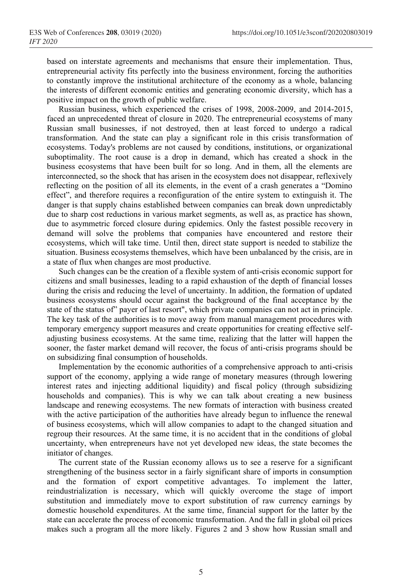based on interstate agreements and mechanisms that ensure their implementation. Thus, entrepreneurial activity fits perfectly into the business environment, forcing the authorities to constantly improve the institutional architecture of the economy as a whole, balancing the interests of different economic entities and generating economic diversity, which has a positive impact on the growth of public welfare.

Russian business, which experienced the crises of 1998, 2008-2009, and 2014-2015, faced an unprecedented threat of closure in 2020. The entrepreneurial ecosystems of many Russian small businesses, if not destroyed, then at least forced to undergo a radical transformation. And the state can play a significant role in this crisis transformation of ecosystems. Today's problems are not caused by conditions, institutions, or organizational suboptimality. The root cause is a drop in demand, which has created a shock in the business ecosystems that have been built for so long. And in them, all the elements are interconnected, so the shock that has arisen in the ecosystem does not disappear, reflexively reflecting on the position of all its elements, in the event of a crash generates a "Domino effect", and therefore requires a reconfiguration of the entire system to extinguish it. The danger is that supply chains established between companies can break down unpredictably due to sharp cost reductions in various market segments, as well as, as practice has shown, due to asymmetric forced closure during epidemics. Only the fastest possible recovery in demand will solve the problems that companies have encountered and restore their ecosystems, which will take time. Until then, direct state support is needed to stabilize the situation. Business ecosystems themselves, which have been unbalanced by the crisis, are in a state of flux when changes are most productive.

Such changes can be the creation of a flexible system of anti-crisis economic support for citizens and small businesses, leading to a rapid exhaustion of the depth of financial losses during the crisis and reducing the level of uncertainty. In addition, the formation of updated business ecosystems should occur against the background of the final acceptance by the state of the status of" payer of last resort", which private companies can not act in principle. The key task of the authorities is to move away from manual management procedures with temporary emergency support measures and create opportunities for creating effective selfadjusting business ecosystems. At the same time, realizing that the latter will happen the sooner, the faster market demand will recover, the focus of anti-crisis programs should be on subsidizing final consumption of households.

Implementation by the economic authorities of a comprehensive approach to anti-crisis support of the economy, applying a wide range of monetary measures (through lowering interest rates and injecting additional liquidity) and fiscal policy (through subsidizing households and companies). This is why we can talk about creating a new business landscape and renewing ecosystems. The new formats of interaction with business created with the active participation of the authorities have already begun to influence the renewal of business ecosystems, which will allow companies to adapt to the changed situation and regroup their resources. At the same time, it is no accident that in the conditions of global uncertainty, when entrepreneurs have not yet developed new ideas, the state becomes the initiator of changes.

The current state of the Russian economy allows us to see a reserve for a significant strengthening of the business sector in a fairly significant share of imports in consumption and the formation of export competitive advantages. To implement the latter, reindustrialization is necessary, which will quickly overcome the stage of import substitution and immediately move to export substitution of raw currency earnings by domestic household expenditures. At the same time, financial support for the latter by the state can accelerate the process of economic transformation. And the fall in global oil prices makes such a program all the more likely. Figures 2 and 3 show how Russian small and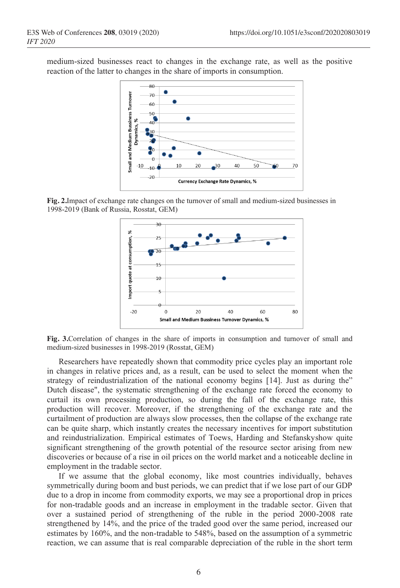medium-sized businesses react to changes in the exchange rate, as well as the positive reaction of the latter to changes in the share of imports in consumption.



**Fig. 2.**Impact of exchange rate changes on the turnover of small and medium-sized businesses in 1998-2019 (Bank of Russia, Rosstat, GEM)



**Fig. 3.**Correlation of changes in the share of imports in consumption and turnover of small and medium-sized businesses in 1998-2019 (Rosstat, GEM)

Researchers have repeatedly shown that commodity price cycles play an important role in changes in relative prices and, as a result, can be used to select the moment when the strategy of reindustrialization of the national economy begins [14]. Just as during the" Dutch disease", the systematic strengthening of the exchange rate forced the economy to curtail its own processing production, so during the fall of the exchange rate, this production will recover. Moreover, if the strengthening of the exchange rate and the curtailment of production are always slow processes, then the collapse of the exchange rate can be quite sharp, which instantly creates the necessary incentives for import substitution and reindustrialization. Empirical estimates of Toews, Harding and Stefanskyshow quite significant strengthening of the growth potential of the resource sector arising from new discoveries or because of a rise in oil prices on the world market and a noticeable decline in employment in the tradable sector.

If we assume that the global economy, like most countries individually, behaves symmetrically during boom and bust periods, we can predict that if we lose part of our GDP due to a drop in income from commodity exports, we may see a proportional drop in prices for non-tradable goods and an increase in employment in the tradable sector. Given that over a sustained period of strengthening of the ruble in the period 2000-2008 rate strengthened by 14%, and the price of the traded good over the same period, increased our estimates by 160%, and the non-tradable to 548%, based on the assumption of a symmetric reaction, we can assume that is real comparable depreciation of the ruble in the short term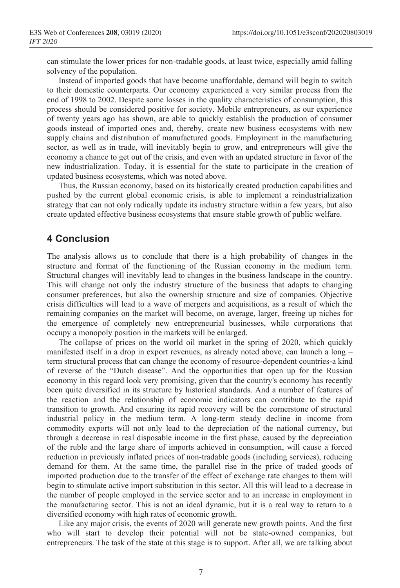can stimulate the lower prices for non-tradable goods, at least twice, especially amid falling solvency of the population.

Instead of imported goods that have become unaffordable, demand will begin to switch to their domestic counterparts. Our economy experienced a very similar process from the end of 1998 to 2002. Despite some losses in the quality characteristics of consumption, this process should be considered positive for society. Mobile entrepreneurs, as our experience of twenty years ago has shown, are able to quickly establish the production of consumer goods instead of imported ones and, thereby, create new business ecosystems with new supply chains and distribution of manufactured goods. Employment in the manufacturing sector, as well as in trade, will inevitably begin to grow, and entrepreneurs will give the economy a chance to get out of the crisis, and even with an updated structure in favor of the new industrialization. Today, it is essential for the state to participate in the creation of updated business ecosystems, which was noted above.

Thus, the Russian economy, based on its historically created production capabilities and pushed by the current global economic crisis, is able to implement a reindustrialization strategy that can not only radically update its industry structure within a few years, but also create updated effective business ecosystems that ensure stable growth of public welfare.

#### **4 Conclusion**

The analysis allows us to conclude that there is a high probability of changes in the structure and format of the functioning of the Russian economy in the medium term. Structural changes will inevitably lead to changes in the business landscape in the country. This will change not only the industry structure of the business that adapts to changing consumer preferences, but also the ownership structure and size of companies. Objective crisis difficulties will lead to a wave of mergers and acquisitions, as a result of which the remaining companies on the market will become, on average, larger, freeing up niches for the emergence of completely new entrepreneurial businesses, while corporations that occupy a monopoly position in the markets will be enlarged.

The collapse of prices on the world oil market in the spring of 2020, which quickly manifested itself in a drop in export revenues, as already noted above, can launch a long – term structural process that can change the economy of resource-dependent countries-a kind of reverse of the "Dutch disease". And the opportunities that open up for the Russian economy in this regard look very promising, given that the country's economy has recently been quite diversified in its structure by historical standards. And a number of features of the reaction and the relationship of economic indicators can contribute to the rapid transition to growth. And ensuring its rapid recovery will be the cornerstone of structural industrial policy in the medium term. A long-term steady decline in income from commodity exports will not only lead to the depreciation of the national currency, but through a decrease in real disposable income in the first phase, caused by the depreciation of the ruble and the large share of imports achieved in consumption, will cause a forced reduction in previously inflated prices of non-tradable goods (including services), reducing demand for them. At the same time, the parallel rise in the price of traded goods of imported production due to the transfer of the effect of exchange rate changes to them will begin to stimulate active import substitution in this sector. All this will lead to a decrease in the number of people employed in the service sector and to an increase in employment in the manufacturing sector. This is not an ideal dynamic, but it is a real way to return to a diversified economy with high rates of economic growth.

Like any major crisis, the events of 2020 will generate new growth points. And the first who will start to develop their potential will not be state-owned companies, but entrepreneurs. The task of the state at this stage is to support. After all, we are talking about